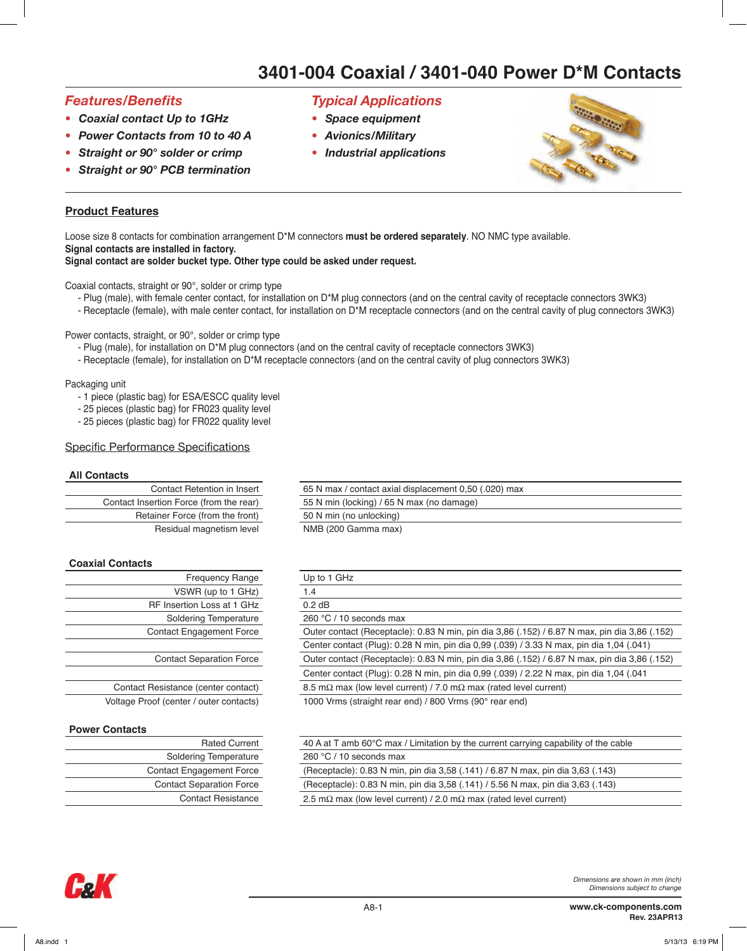## **3401-004 Coaxial / 3401-040 Power D\*M Contacts**

#### *Features/Benefits*

- *• Coaxial contact Up to 1GHz*
- *• Power Contacts from 10 to 40 A*
- *• Straight or 90° solder or crimp*
- *• Straight or 90° PCB termination*

#### **Product Features**

Loose size 8 contacts for combination arrangement D\*M connectors **must be ordered separately**. NO NMC type available. **Signal contacts are installed in factory.** 

#### **Signal contact are solder bucket type. Other type could be asked under request.**

Coaxial contacts, straight or 90°, solder or crimp type

- Plug (male), with female center contact, for installation on D\*M plug connectors (and on the central cavity of receptacle connectors 3WK3)
- Receptacle (female), with male center contact, for installation on D\*M receptacle connectors (and on the central cavity of plug connectors 3WK3)

*Typical Applications • Space equipment • Avionics/Military • Industrial applications*

Power contacts, straight, or 90°, solder or crimp type

- Plug (male), for installation on D\*M plug connectors (and on the central cavity of receptacle connectors 3WK3)
- Receptacle (female), for installation on D\*M receptacle connectors (and on the central cavity of plug connectors 3WK3)

#### Packaging unit

- 1 piece (plastic bag) for ESA/ESCC quality level
- 25 pieces (plastic bag) for FR023 quality level
- 25 pieces (plastic bag) for FR022 quality level

Specific Performance Specifications

#### **All Contacts**

| <b>Contact Retention in Insert</b>      |
|-----------------------------------------|
| Contact Insertion Force (from the rear) |
| Retainer Force (from the front)         |
| Residual magnetism level                |

#### **Coaxial Contacts**

| <b>Frequency Range</b>          | Up to 1 GHz  |
|---------------------------------|--------------|
| VSWR (up to 1 GHz)              | 1.4          |
| RF Insertion Loss at 1 GHz      | $0.2$ dB     |
| <b>Soldering Temperature</b>    | 260 °C / 10  |
| <b>Contact Engagement Force</b> | Outer contad |
|                                 |              |

Contact Resistance (center contact) Voltage Proof (center / outer contacts)

#### **Power Contacts**

| <b>Rated Current</b>            |
|---------------------------------|
| Soldering Temperature           |
| <b>Contact Engagement Force</b> |
| <b>Contact Separation Force</b> |
| <b>Contact Resistance</b>       |
|                                 |

65 N max / contact axial displacement 0,50 (.020) max 55 N min (locking) / 65 N max (no damage) 50 N min (no unlocking) NMB (200 Gamma max)

| <b>Frequency Range</b>          | Up to 1 GHz                                                                                   |
|---------------------------------|-----------------------------------------------------------------------------------------------|
| VSWR (up to 1 GHz)              | 1.4                                                                                           |
| RF Insertion Loss at 1 GHz      | $0.2$ dB                                                                                      |
| Soldering Temperature           | 260 °C / 10 seconds max                                                                       |
| <b>Contact Engagement Force</b> | Outer contact (Receptacle): 0.83 N min, pin dia 3,86 (.152) / 6.87 N max, pin dia 3,86 (.152) |
|                                 | Center contact (Plug): 0.28 N min, pin dia 0.99 (.039) / 3.33 N max, pin dia 1.04 (.041)      |
| <b>Contact Separation Force</b> | Outer contact (Receptacle): 0.83 N min, pin dia 3,86 (.152) / 6.87 N max, pin dia 3,86 (.152) |
|                                 | Center contact (Plug): 0.28 N min, pin dia 0.99 (.039) / 2.22 N max, pin dia 1.04 (.041       |
| Resistance (center contact)     | 8.5 m $\Omega$ max (low level current) / 7.0 m $\Omega$ max (rated level current)             |
| oof (center / outer contacts)   | 1000 Vrms (straight rear end) / 800 Vrms $(90^\circ$ rear end)                                |

| <b>Rated Current</b>            | 40 A at T amb 60°C max / Limitation by the current carrying capability of the cable |
|---------------------------------|-------------------------------------------------------------------------------------|
| Soldering Temperature           | 260 °C / 10 seconds max                                                             |
| <b>Contact Engagement Force</b> | (Receptacle): 0.83 N min, pin dia 3,58 (.141) / 6.87 N max, pin dia 3,63 (.143)     |
| <b>Contact Separation Force</b> | (Receptacle): 0.83 N min, pin dia 3,58 (.141) / 5.56 N max, pin dia 3,63 (.143)     |
| <b>Contact Resistance</b>       | 2.5 m $\Omega$ max (low level current) / 2.0 m $\Omega$ max (rated level current)   |



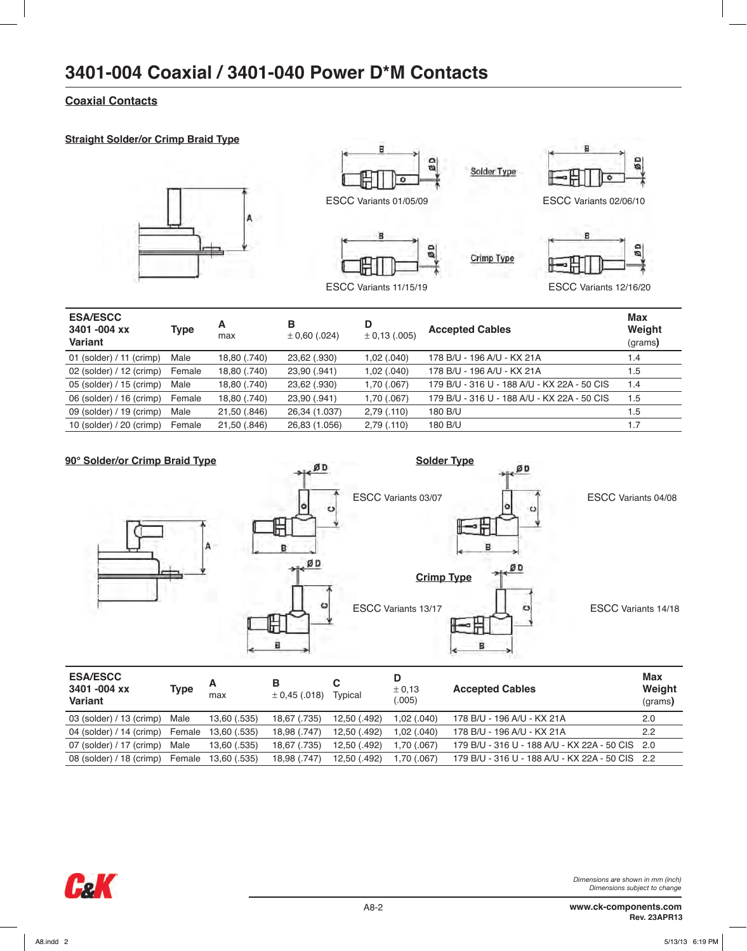#### **Coaxial Contacts**

**Straight Solder/or Crimp Braid Type**





| <b>ESA/ESCC</b><br>3401-004 xx<br><b>Variant</b> | <b>Type</b> | А<br>max     | в<br>$\pm$ 0.60 (.024) | D<br>$\pm$ 0.13 (.005) | <b>Accepted Cables</b>                      | Max<br>Weight<br>(grams) |
|--------------------------------------------------|-------------|--------------|------------------------|------------------------|---------------------------------------------|--------------------------|
| 01 (solder) $/ 11$ (crimp)                       | Male        | 18,80 (.740) | 23,62 (.930)           | 1,02 (.040)            | 178 B/U - 196 A/U - KX 21A                  | 1.4                      |
| 02 (solder) / 12 (crimp)                         | Female      | 18,80 (.740) | 23,90 (.941)           | 1,02 (.040)            | 178 B/U - 196 A/U - KX 21A                  | . .5                     |
| 05 (solder) / 15 (crimp)                         | Male        | 18,80 (.740) | 23,62 (.930)           | 1,70 (.067)            | 179 B/U - 316 U - 188 A/U - KX 22A - 50 CIS | 1.4                      |
| 06 (solder) / 16 (crimp)                         | Female      | 18,80 (.740) | 23,90 (.941)           | 1,70 (.067)            | 179 B/U - 316 U - 188 A/U - KX 22A - 50 CIS | 1.5                      |
| 09 (solder) / 19 (crimp)                         | Male        | 21,50 (.846) | 26,34 (1.037)          | $2,79$ $(.110)$        | 180 B/U                                     | ī.5                      |
| 10 (solder) / 20 (crimp)                         | Female      | 21,50 (.846) | 26,83 (1.056)          | $2,79$ $(.110)$        | 180 B/U                                     | 1.7                      |
|                                                  |             |              |                        |                        |                                             |                          |



| <b>ESA/ESCC</b><br>3401-004 xx<br><b>Variant</b> | Type   | max          | в<br>$\pm$ 0.45 (.018) | Typical      | D<br>± 0,13<br>(.005) | <b>Accepted Cables</b>                          | Max<br>Weight<br>(grams) |
|--------------------------------------------------|--------|--------------|------------------------|--------------|-----------------------|-------------------------------------------------|--------------------------|
| 03 (solder) / 13 (crimp)                         | Male   | 13,60 (.535) | 18.67 (.735)           | 12.50 (.492) | $0.02$ (.040)         | 178 B/U - 196 A/U - KX 21A                      | 2.0                      |
| 04 (solder) / 14 (crimp)                         | Female | 13,60 (.535) | 18.98 (.747)           | 12.50 (.492) | $.02$ $(.040)$        | 178 B/U - 196 A/U - KX 21A                      | 2.2                      |
| 07 (solder) / 17 (crimp)                         | Male   | 13,60 (.535) | 18.67 (.735)           | 12.50 (.492) | 1.70 (.067)           | 179 B/U - 316 U - 188 A/U - KX 22A - 50 CIS 2.0 |                          |
| 08 (solder) / 18 (crimp)                         | Female | 13.60 (.535) | 18,98 (.747)           | 12,50 (.492) | .70(0.067)            | 179 B/U - 316 U - 188 A/U - KX 22A - 50 CIS 2.2 |                          |

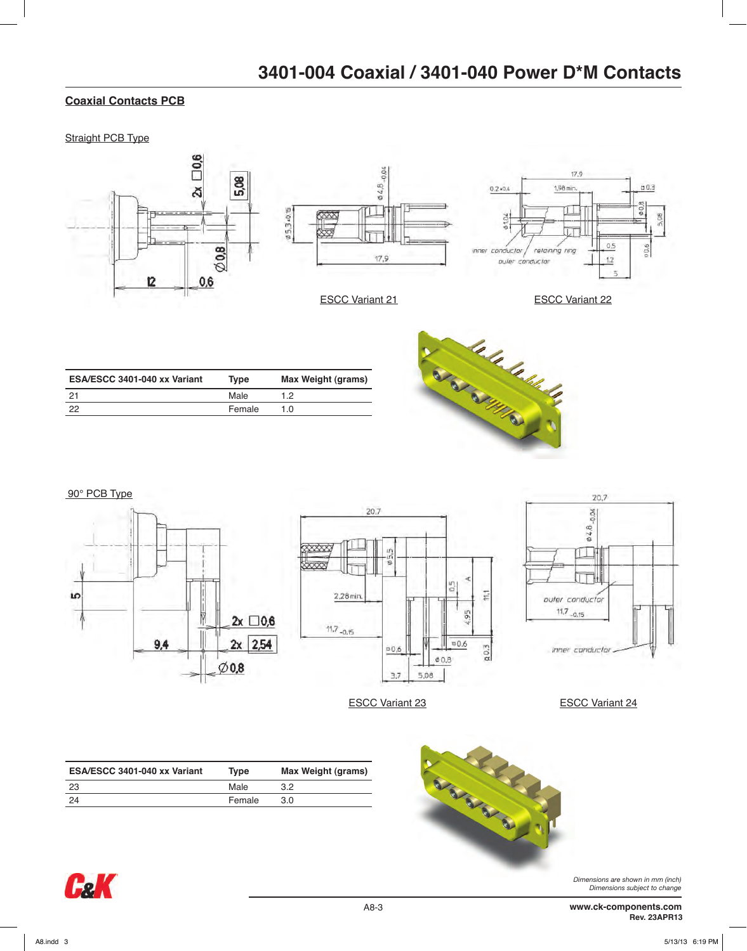#### **Coaxial Contacts PCB**

#### **Straight PCB Type**



| ESA/ESCC 3401-040 xx Variant | Tvpe   | Max Weight (grams) |
|------------------------------|--------|--------------------|
| 21                           | Male   | 12                 |
| 22                           | Female | 1 N                |
|                              |        |                    |



#### 90° PCB Type





ESCC Variant 23 ESCC Variant 24

 $20.7$  $-0.04$ 

 $0.4, 8,$ 

outer conductor  $11.7 - 0.15$ 

inner conductor

| ESA/ESCC 3401-040 xx Variant | Type   | Max Weight (grams) |
|------------------------------|--------|--------------------|
| 23                           | Male   | 32                 |
| 24                           | Female | 30                 |



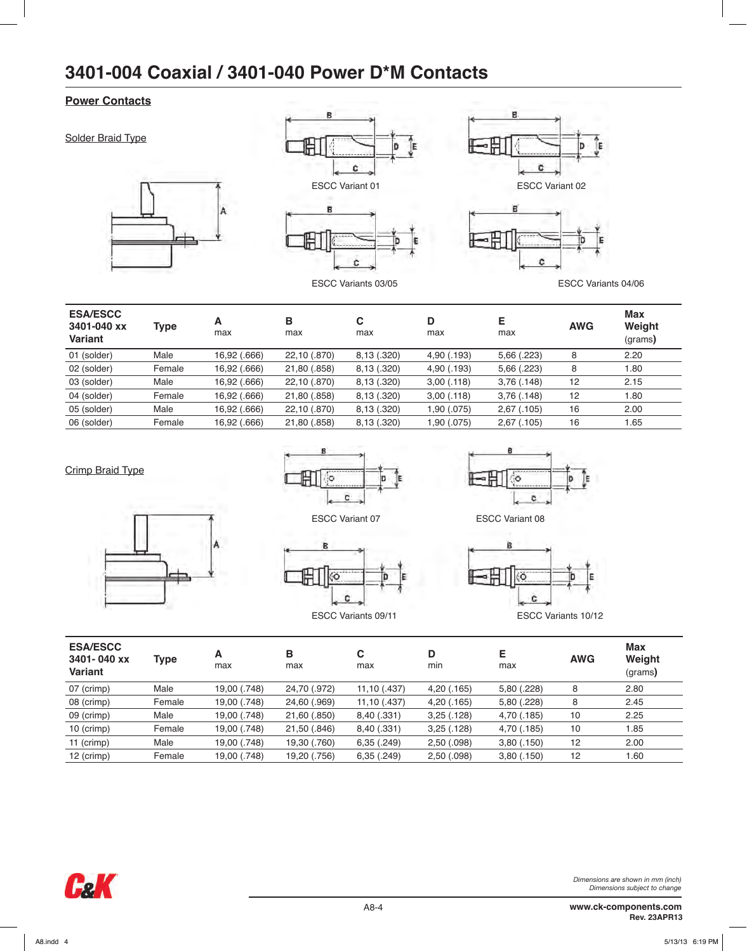# **3401-004 Coaxial / 3401-040 Power D\*M Contacts**

### **Power Contacts**









ESCC Variants 03/05 ESCC Variants 04/06

| <b>ESA/ESCC</b><br>3401-040 xx<br><b>Variant</b> | <b>Type</b> | A<br>max     | в<br>max     | С<br>max    | D<br>max        | Е<br>max        | <b>AWG</b> | Max<br>Weight<br>(grams) |
|--------------------------------------------------|-------------|--------------|--------------|-------------|-----------------|-----------------|------------|--------------------------|
| 01 (solder)                                      | Male        | 16,92 (.666) | 22,10 (.870) | 8,13 (.320) | 4,90 (.193)     | 5,66(.223)      | 8          | 2.20                     |
| 02 (solder)                                      | Female      | 16,92 (.666) | 21,80 (.858) | 8,13 (.320) | 4,90 (.193)     | 5,66(.223)      | 8          | 1.80                     |
| 03 (solder)                                      | Male        | 16,92 (.666) | 22,10 (.870) | 8,13 (.320) | 3,00(.118)      | 3,76(.148)      | 12         | 2.15                     |
| 04 (solder)                                      | Female      | 16,92 (.666) | 21,80 (.858) | 8,13 (.320) | $3,00$ $(.118)$ | 3,76(.148)      | 12         | 1.80                     |
| 05 (solder)                                      | Male        | 16,92 (.666) | 22,10 (.870) | 8,13 (.320) | 1,90(.075)      | $2,67$ (.105)   | 16         | 2.00                     |
| 06 (solder)                                      | Female      | 16,92 (.666) | 21,80 (.858) | 8,13 (.320) | 1,90(.075)      | $2,67$ $(.105)$ | 16         | 1.65                     |

Crimp Braid Type











| <b>ESA/ESCC</b><br>3401-040 xx<br><b>Variant</b> | Type   | A<br>max     | в<br>max     | C<br>max      | D<br>min    | Е<br>max    | <b>AWG</b> | <b>Max</b><br>Weight<br>(grams) |
|--------------------------------------------------|--------|--------------|--------------|---------------|-------------|-------------|------------|---------------------------------|
| 07 (crimp)                                       | Male   | 19,00 (.748) | 24,70 (.972) | 11,10 (.437)  | 4,20(.165)  | 5,80(.228)  | 8          | 2.80                            |
| 08 (crimp)                                       | Female | 19,00 (.748) | 24,60 (.969) | 11, 10 (.437) | 4,20 (.165) | 5,80(.228)  | 8          | 2.45                            |
| 09 (crimp)                                       | Male   | 19,00 (.748) | 21,60 (.850) | 8,40 (.331)   | 3,25(.128)  | 4,70 (.185) | 10         | 2.25                            |
| 10 (crimp)                                       | Female | 19,00 (.748) | 21,50 (.846) | 8,40 (.331)   | 3,25(.128)  | 4,70 (.185) | 10         | 1.85                            |
| 11 (crimp)                                       | Male   | 19,00 (.748) | 19,30 (.760) | 6,35(.249)    | 2,50(.098)  | 3,80(.150)  | 12         | 2.00                            |
| 12 (crimp)                                       | Female | 19,00 (.748) | 19,20 (.756) | 6,35(.249)    | 2,50(.098)  | 3,80(.150)  | 12         | . 60                            |

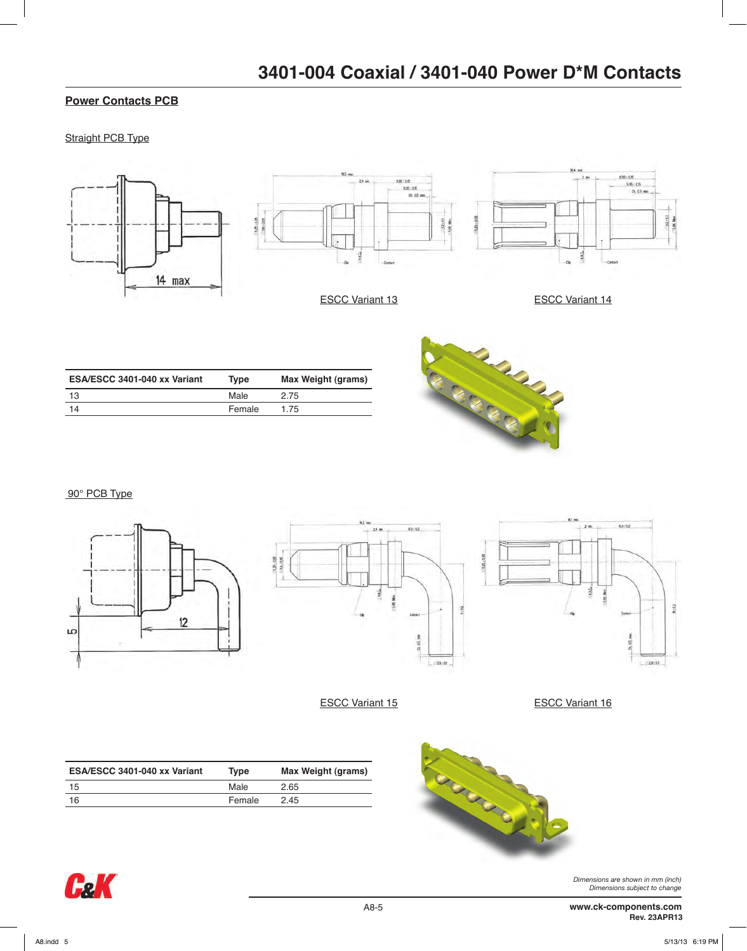#### **Power Contacts PCB**

#### **Straight PCB Type**



| ESA/ESCC 3401-040 xx Variant | Tvpe   | Max Weight (grams) |
|------------------------------|--------|--------------------|
| 13                           | Male   | 2 75               |
| 14                           | Female | 1 75               |
|                              |        |                    |



#### 90° PCB Type





ESCC Variant 15 ESCC Variant 16

| ESA/ESCC 3401-040 xx Variant | Type   | Max Weight (grams) |
|------------------------------|--------|--------------------|
| 15                           | Male   | 2 65               |
| 16                           | Female | 245                |





*Dimensions are shown in mm (inch) Dimensions subject to change*

 $11.02$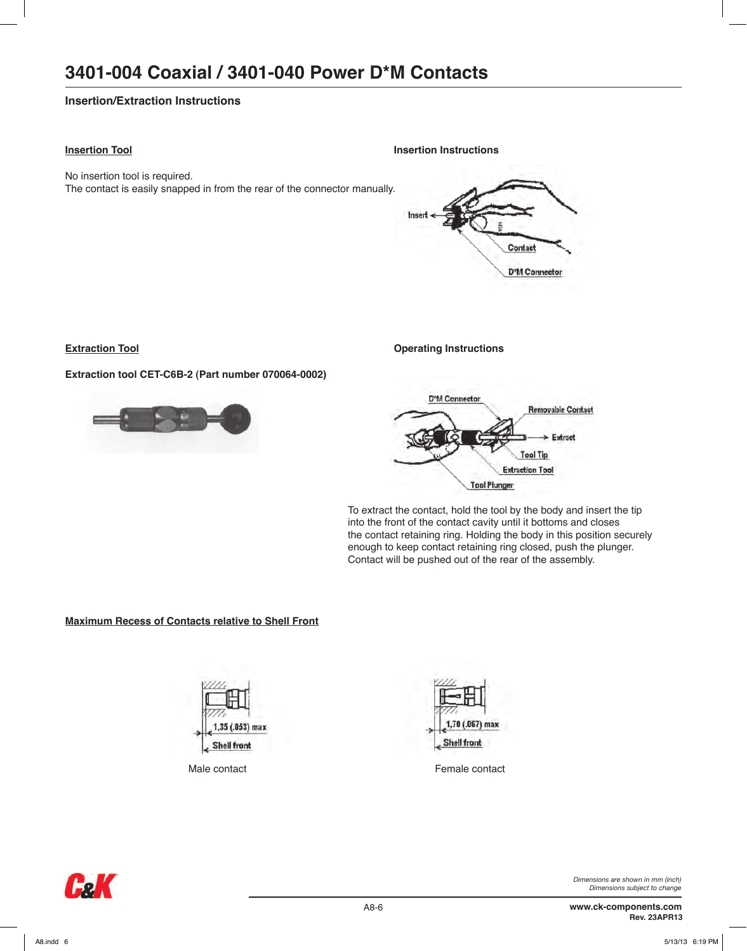#### **Insertion/Extraction Instructions**

#### **Insertion Tool Insertion Instructions**

No insertion tool is required. The contact is easily snapped in from the rear of the connector manually.

# Inser Contact D<sup>\*M</sup> Connector

**Extraction tool CET-C6B-2 (Part number 070064-0002)**



**Extraction Tool CONSIDER INSTRUCTED IN THE OPERATION CONSIDER IN THE OPERATION OPERATIONS** 



To extract the contact, hold the tool by the body and insert the tip into the front of the contact cavity until it bottoms and closes the contact retaining ring. Holding the body in this position securely enough to keep contact retaining ring closed, push the plunger. Contact will be pushed out of the rear of the assembly.

#### **Maximum Recess of Contacts relative to Shell Front**





Male contact **Female** contact

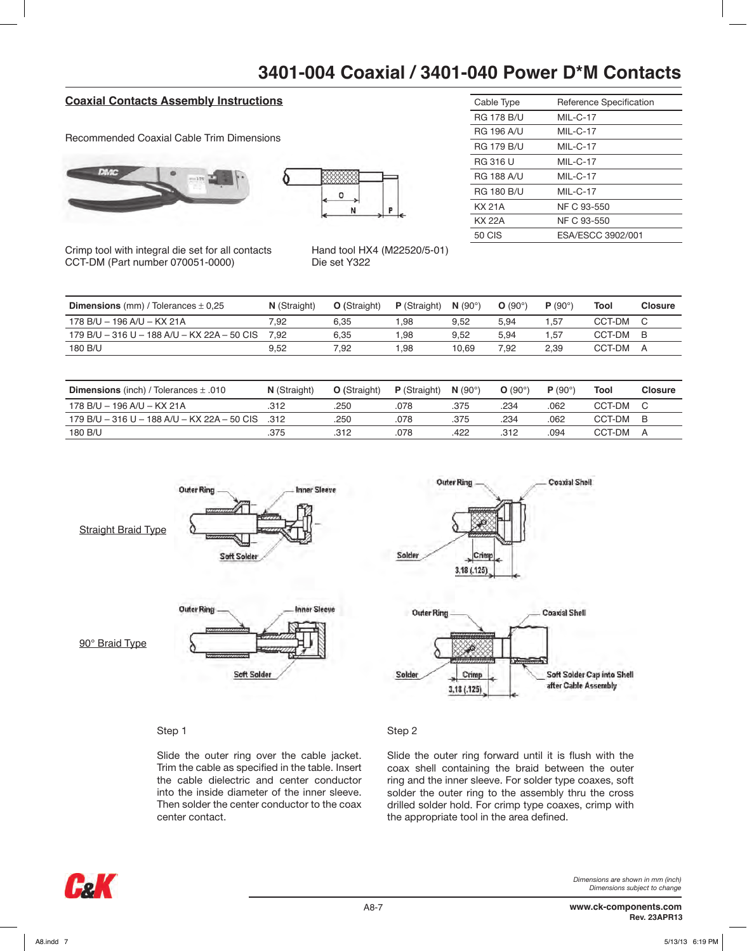#### **Coaxial Contacts Assembly Instructions**

Recommended Coaxial Cable Trim Dimensions





Crimp tool with integral die set for all contacts Hand tool HX4 (M22520/5-01) CCT-DM (Part number 070051-0000) Die set Y322

| Cable Type        | Reference Specification |
|-------------------|-------------------------|
| <b>RG 178 B/U</b> | $MIL-C-17$              |
| <b>RG 196 A/U</b> | $MIL-C-17$              |
| <b>RG 179 B/U</b> | $MIL-C-17$              |
| <b>RG 316 U</b>   | $MIL-C-17$              |
| <b>RG 188 A/U</b> | $MIL-C-17$              |
| <b>RG 180 B/U</b> | $MIL-C-17$              |
| KX 21A            | NF C 93-550             |
| <b>KX 22A</b>     | NF C 93-550             |
| 50 CIS            | ESA/ESCC 3902/001       |
|                   |                         |

| <b>Dimensions</b> (mm) / Tolerances $\pm$ 0.25 | N (Straight) | <b>O</b> (Straight) | $P$ (Straight) | $N(90^{\circ})$ | $O(90^\circ)$ | $P(90^\circ)$ | Tool   | <b>Closure</b> |
|------------------------------------------------|--------------|---------------------|----------------|-----------------|---------------|---------------|--------|----------------|
| 178 B/U - 196 A/U - KX 21A                     | 7.92         | 6.35                | .98            | 9.52            | 5,94          | .57           | CCT-DM |                |
| 179 B/U - 316 U - 188 A/U - KX 22A - 50 CIS    | 7.92         | 6.35                | .98            | 9.52            | 5.94          | .57           | CCT-DM | B              |
| 180 B/U                                        | 9.52         | 7.92                | .98            | 10.69           | 7.92          | 2.39          | CCT-DM |                |
|                                                |              |                     |                |                 |               |               |        |                |

| <b>Dimensions</b> (inch) / Tolerances $\pm$ .010 | N (Straight) | <b>O</b> (Straight) | $P$ (Straight) | $N(90^{\circ})$ | O(90°) | $P(90^{\circ})$ | Tool   | <b>Closure</b> |
|--------------------------------------------------|--------------|---------------------|----------------|-----------------|--------|-----------------|--------|----------------|
| 178 B/U - 196 A/U - KX 21A                       | 312          | .250                | .078           | .375            | .234   | 062             | CCT-DM |                |
| 179 B/U - 316 U - 188 A/U - KX 22A - 50 CIS .312 |              | 250                 | .078           | .375            | .234   | 062             | CCT-DM | B              |
| 180 B/U                                          | .375         | .312                | 078            | .422            | .312   | 094.            | CCT-DM | А              |



#### Step 1

Step 2

Slide the outer ring over the cable jacket. Trim the cable as specified in the table. Insert the cable dielectric and center conductor into the inside diameter of the inner sleeve. Then solder the center conductor to the coax center contact.

Slide the outer ring forward until it is flush with the coax shell containing the braid between the outer ring and the inner sleeve. For solder type coaxes, soft solder the outer ring to the assembly thru the cross drilled solder hold. For crimp type coaxes, crimp with the appropriate tool in the area defined.

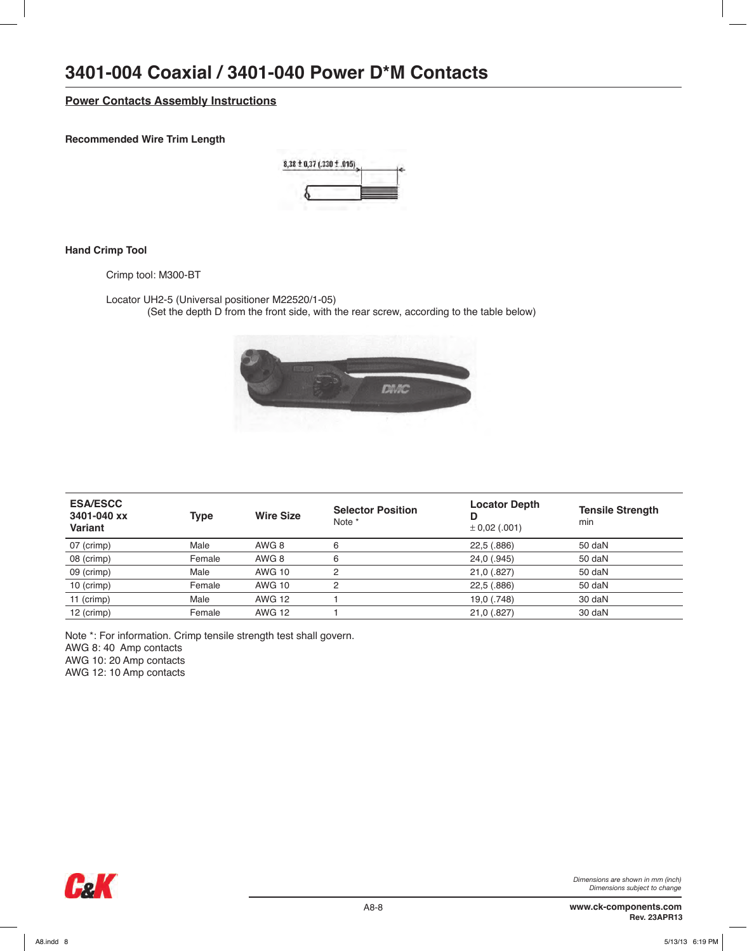#### **Power Contacts Assembly Instructions**

#### **Recommended Wire Trim Length**



#### **Hand Crimp Tool**

Crimp tool: M300-BT

Locator UH2-5 (Universal positioner M22520/1-05)

(Set the depth D from the front side, with the rear screw, according to the table below)



| <b>ESA/ESCC</b><br>3401-040 xx<br><b>Variant</b> | <b>Type</b> | <b>Wire Size</b> | <b>Selector Position</b><br>Note * | <b>Locator Depth</b><br>D<br>± 0.02(.001) | <b>Tensile Strength</b><br>min |
|--------------------------------------------------|-------------|------------------|------------------------------------|-------------------------------------------|--------------------------------|
| 07 (crimp)                                       | Male        | AWG 8            | 6                                  | 22,5 (.886)                               | 50 daN                         |
| 08 (crimp)                                       | Female      | AWG 8            | 6                                  | 24,0 (.945)                               | 50 daN                         |
| 09 (crimp)                                       | Male        | <b>AWG 10</b>    | 2                                  | 21,0(.827)                                | 50 daN                         |
| 10 (crimp)                                       | Female      | <b>AWG 10</b>    | 2                                  | 22,5 (.886)                               | 50 daN                         |
| 11 (crimp)                                       | Male        | AWG 12           |                                    | 19,0 (.748)                               | 30 daN                         |
| 12 (crimp)                                       | Female      | <b>AWG 12</b>    |                                    | 21,0(.827)                                | 30 daN                         |
|                                                  |             |                  |                                    |                                           |                                |

Note \*: For information. Crimp tensile strength test shall govern.

AWG 8: 40 Amp contacts

AWG 10: 20 Amp contacts

AWG 12: 10 Amp contacts

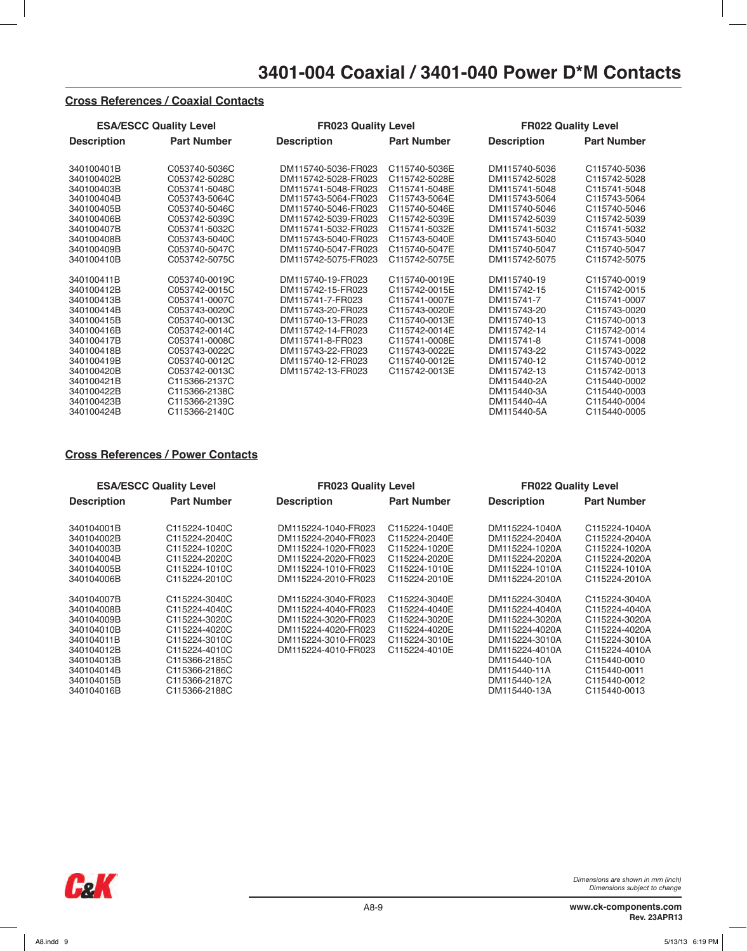#### **Cross References / Coaxial Contacts**

|                                                                                                                                                                                                                | <b>ESA/ESCC Quality Level</b>                                                                                                                                                                                                                               |                                                                                                                                                                                                                                     | <b>FR023 Quality Level</b>                                                                                                                                                              |                                                                                                                                                                                                                               | <b>FR022 Quality Level</b>                                                                                                                                                                                                                   |  |  |
|----------------------------------------------------------------------------------------------------------------------------------------------------------------------------------------------------------------|-------------------------------------------------------------------------------------------------------------------------------------------------------------------------------------------------------------------------------------------------------------|-------------------------------------------------------------------------------------------------------------------------------------------------------------------------------------------------------------------------------------|-----------------------------------------------------------------------------------------------------------------------------------------------------------------------------------------|-------------------------------------------------------------------------------------------------------------------------------------------------------------------------------------------------------------------------------|----------------------------------------------------------------------------------------------------------------------------------------------------------------------------------------------------------------------------------------------|--|--|
| <b>Description</b>                                                                                                                                                                                             | <b>Part Number</b>                                                                                                                                                                                                                                          | <b>Description</b>                                                                                                                                                                                                                  | <b>Part Number</b>                                                                                                                                                                      | <b>Description</b>                                                                                                                                                                                                            | <b>Part Number</b>                                                                                                                                                                                                                           |  |  |
| 340100401B<br>340100402B<br>340100403B<br>340100404B<br>340100405B<br>340100406B<br>340100407B<br>340100408B<br>340100409B                                                                                     | C053740-5036C<br>C053742-5028C<br>C053741-5048C<br>C053743-5064C<br>C053740-5046C<br>C053742-5039C<br>C053741-5032C<br>C053743-5040C<br>C053740-5047C                                                                                                       | DM115740-5036-FR023<br>DM115742-5028-FR023<br>DM115741-5048-FR023<br>DM115743-5064-FR023<br>DM115740-5046-FR023<br>DM115742-5039-FR023<br>DM115741-5032-FR023<br>DM115743-5040-FR023<br>DM115740-5047-FR023                         | C115740-5036E<br>C115742-5028E<br>C115741-5048E<br>C115743-5064E<br>C115740-5046E<br>C115742-5039E<br>C115741-5032E<br>C115743-5040E<br>C115740-5047E                                   | DM115740-5036<br>DM115742-5028<br>DM115741-5048<br>DM115743-5064<br>DM115740-5046<br>DM115742-5039<br>DM115741-5032<br>DM115743-5040<br>DM115740-5047                                                                         | C115740-5036<br>C115742-5028<br>C115741-5048<br>C115743-5064<br>C115740-5046<br>C115742-5039<br>C115741-5032<br>C115743-5040<br>C115740-5047                                                                                                 |  |  |
| 340100410B<br>340100411B<br>340100412B<br>340100413B<br>340100414B<br>340100415B<br>340100416B<br>340100417B<br>340100418B<br>340100419B<br>340100420B<br>340100421B<br>340100422B<br>340100423B<br>340100424B | C053742-5075C<br>C053740-0019C<br>C053742-0015C<br>C053741-0007C<br>C053743-0020C<br>C053740-0013C<br>C053742-0014C<br>C053741-0008C<br>C053743-0022C<br>C053740-0012C<br>C053742-0013C<br>C115366-2137C<br>C115366-2138C<br>C115366-2139C<br>C115366-2140C | DM115742-5075-FR023<br>DM115740-19-FR023<br>DM115742-15-FR023<br>DM115741-7-FR023<br>DM115743-20-FR023<br>DM115740-13-FR023<br>DM115742-14-FR023<br>DM115741-8-FR023<br>DM115743-22-FR023<br>DM115740-12-FR023<br>DM115742-13-FR023 | C115742-5075E<br>C115740-0019E<br>C115742-0015E<br>C115741-0007E<br>C115743-0020E<br>C115740-0013E<br>C115742-0014E<br>C115741-0008E<br>C115743-0022E<br>C115740-0012E<br>C115742-0013E | DM115742-5075<br>DM115740-19<br>DM115742-15<br>DM115741-7<br>DM115743-20<br>DM115740-13<br>DM115742-14<br>DM115741-8<br>DM115743-22<br>DM115740-12<br>DM115742-13<br>DM115440-2A<br>DM115440-3A<br>DM115440-4A<br>DM115440-5A | C115742-5075<br>C115740-0019<br>C115742-0015<br>C115741-0007<br>C115743-0020<br>C115740-0013<br>C115742-0014<br>C115741-0008<br>C115743-0022<br>C115740-0012<br>C115742-0013<br>C115440-0002<br>C115440-0003<br>C115440-0004<br>C115440-0005 |  |  |

#### **Cross References / Power Contacts**

| <b>ESA/ESCC Quality Level</b>                                                                                                            |                                                                                                                                                                        | <b>FR023 Quality Level</b>                                                                                                             |                                                                                                    | <b>FR022 Quality Level</b>                                                                                                                                               |                                                                                                                                                                                 |  |
|------------------------------------------------------------------------------------------------------------------------------------------|------------------------------------------------------------------------------------------------------------------------------------------------------------------------|----------------------------------------------------------------------------------------------------------------------------------------|----------------------------------------------------------------------------------------------------|--------------------------------------------------------------------------------------------------------------------------------------------------------------------------|---------------------------------------------------------------------------------------------------------------------------------------------------------------------------------|--|
| <b>Description</b>                                                                                                                       | <b>Part Number</b>                                                                                                                                                     | <b>Description</b>                                                                                                                     | <b>Part Number</b>                                                                                 | <b>Description</b>                                                                                                                                                       | <b>Part Number</b>                                                                                                                                                              |  |
| 340104001B<br>340104002B<br>340104003B<br>340104004B<br>340104005B<br>340104006B                                                         | C115224-1040C<br>C115224-2040C<br>C115224-1020C<br>C115224-2020C<br>C115224-1010C<br>C115224-2010C                                                                     | DM115224-1040-FR023<br>DM115224-2040-FR023<br>DM115224-1020-FR023<br>DM115224-2020-FR023<br>DM115224-1010-FR023<br>DM115224-2010-FR023 | C115224-1040E<br>C115224-2040E<br>C115224-1020E<br>C115224-2020E<br>C115224-1010E<br>C115224-2010E | DM115224-1040A<br>DM115224-2040A<br>DM115224-1020A<br>DM115224-2020A<br>DM115224-1010A<br>DM115224-2010A                                                                 | C115224-1040A<br>C115224-2040A<br>C115224-1020A<br>C115224-2020A<br>C115224-1010A<br>C115224-2010A                                                                              |  |
| 340104007B<br>340104008B<br>340104009B<br>340104010B<br>340104011B<br>340104012B<br>340104013B<br>340104014B<br>340104015B<br>340104016B | C115224-3040C<br>C115224-4040C<br>C115224-3020C<br>C115224-4020C<br>C115224-3010C<br>C115224-4010C<br>C115366-2185C<br>C115366-2186C<br>C115366-2187C<br>C115366-2188C | DM115224-3040-FR023<br>DM115224-4040-FR023<br>DM115224-3020-FR023<br>DM115224-4020-FR023<br>DM115224-3010-FR023<br>DM115224-4010-FR023 | C115224-3040E<br>C115224-4040E<br>C115224-3020E<br>C115224-4020E<br>C115224-3010E<br>C115224-4010E | DM115224-3040A<br>DM115224-4040A<br>DM115224-3020A<br>DM115224-4020A<br>DM115224-3010A<br>DM115224-4010A<br>DM115440-10A<br>DM115440-11A<br>DM115440-12A<br>DM115440-13A | C115224-3040A<br>C115224-4040A<br>C115224-3020A<br>C115224-4020A<br>C115224-3010A<br>C115224-4010A<br>C115440-0010<br>C115440-0011<br>C115440-0012<br>C <sub>115440</sub> -0013 |  |

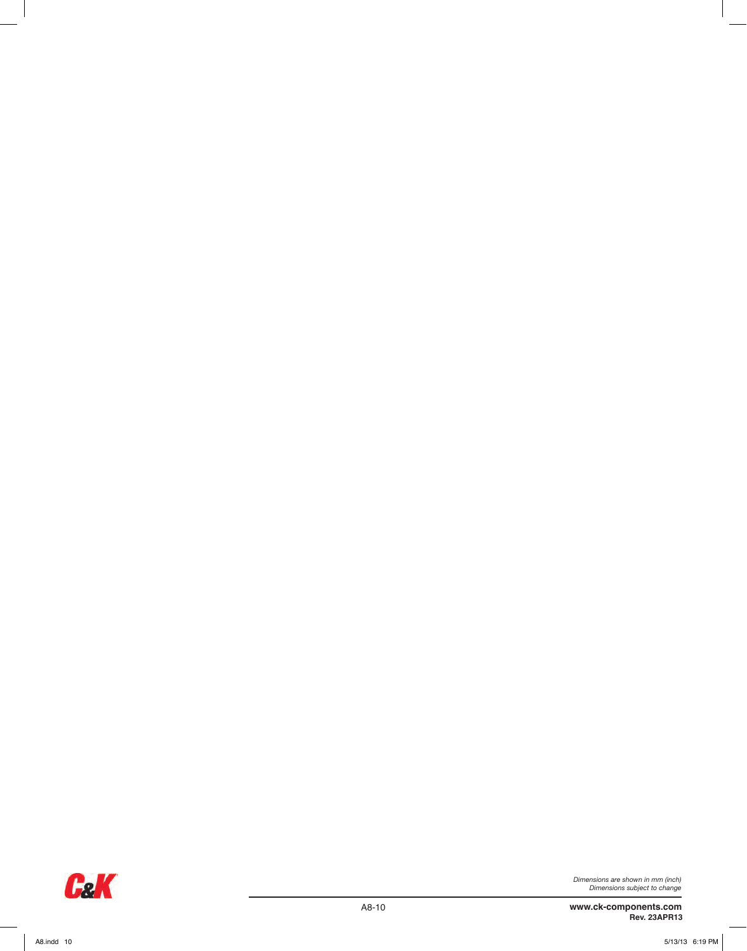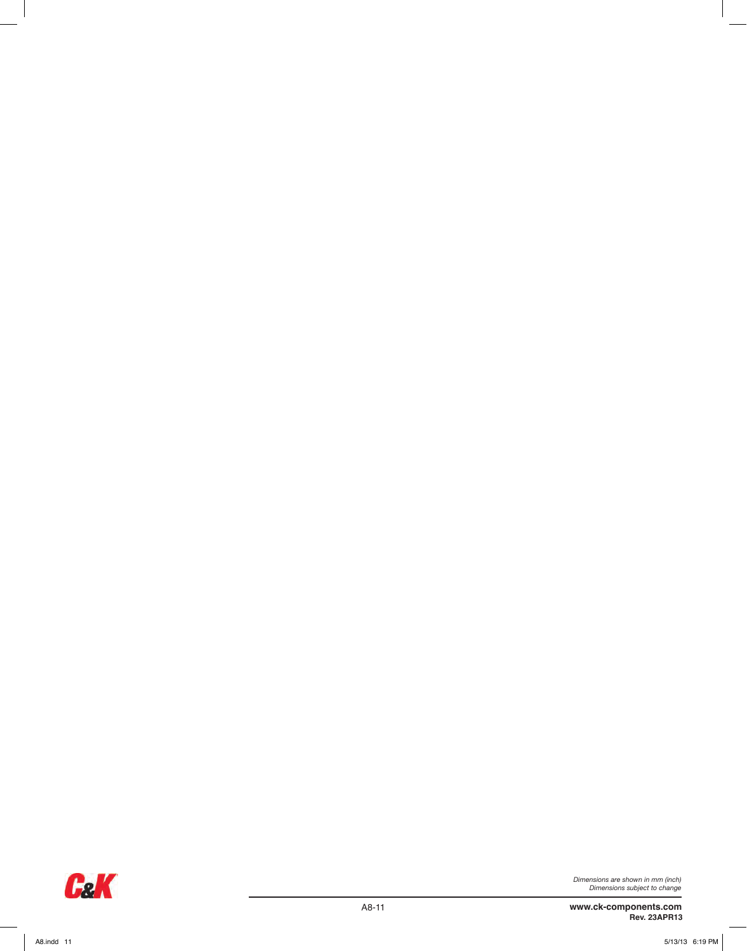